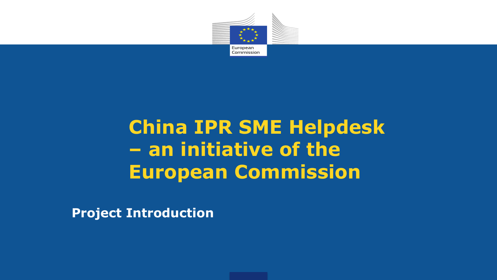

## **China IPR SME Helpdesk – an initiative of the European Commission**

**Project Introduction**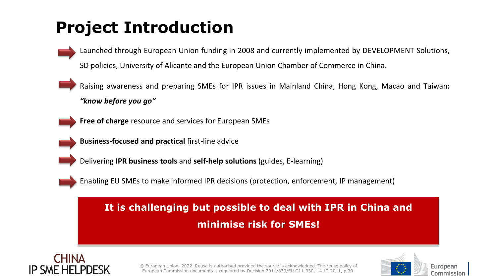## **Project Introduction**

Launched through European Union funding in 2008 and currently implemented by DEVELOPMENT Solutions, SD policies, University of Alicante and the European Union Chamber of Commerce in China.

Raising awareness and preparing SMEs for IPR issues in Mainland China, Hong Kong, Macao and Taiwan**:** *"know before you go"*

**Free of charge** resource and services for European SMEs

**Business-focused and practical** first-line advice

Delivering **IPR business tools** and **self-help solutions** (guides, E-learning)

Enabling EU SMEs to make informed IPR decisions (protection, enforcement, IP management)

#### **It is challenging but possible to deal with IPR in China and minimise risk for SMEs!**



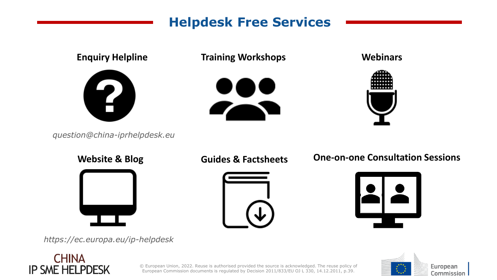#### **Helpdesk Free Services Helpdesk Free Services**



*https://ec.europa.eu/ip-helpdesk*

#### **CHINA IP SME HELPDESK**

European Commission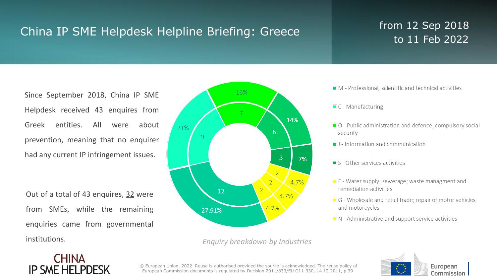### China IP SME Helpdesk Helpline Briefing: Greece from 12 Sep 2018

# to 11 Feb 2022

Since September 2018, China IP SME Helpdesk received 43 enquires from Greek entities. All were about prevention, meaning that no enquirer had any current IP infringement issues.

Out of a total of 43 enquires, 32 were from SMEs, while the remaining enquiries came from governmental institutions.



*Enquiry breakdown by Industries*

- M Professional, scientific and technical activities
- $\blacksquare$  C Manufacturing
- O Public administration and defence; compulsory social security
- I J Information and communication
- $S$  Other services activities
- $\blacksquare$  E Water supply; sewerage; waste managment and remediation activities
- G Wholesale and retail trade; repair of motor vehicles and motorcycles
- $\blacksquare$  N Administrative and support service activities



**CHINA IP SME HELPDESK**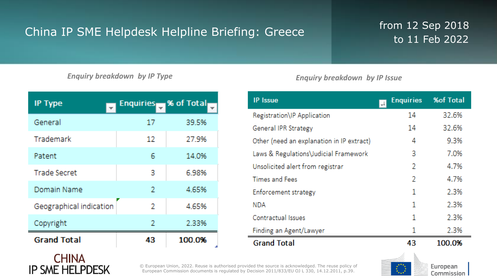### China IP SME Helpdesk Helpline Briefing: Greece from 12 Sep 2018

# to 11 Feb 2022

*Enquiry breakdown by IP Type Enquiry breakdown by IP Issue*

| <b>IP Type</b><br>$\mathcal{L}_{\rm{eff}}$ | Enquiries % of Total |              |
|--------------------------------------------|----------------------|--------------|
| General                                    | 17                   | 39.5%        |
| Trademark                                  | 12                   | 27.9%        |
| Patent                                     | 6                    | 14.0%        |
| <b>Trade Secret</b>                        | 3                    | 6.98%        |
| Domain Name                                | 2                    | 4.65%        |
| Geographical indication                    | 2                    | 4.65%        |
| Copyright                                  | 2                    | 2.33%        |
| <b>Grand Total</b>                         | Æ                    | 100.0%<br>J. |

| <b>IP</b> Issue                           | <b>Enquiries</b><br>$\left  \downarrow \right $ | <b>%of Total</b> |
|-------------------------------------------|-------------------------------------------------|------------------|
| Registration\IP Application               | 14                                              | 32.6%            |
| General IPR Strategy                      | 14                                              | 32.6%            |
| Other (need an explanation in IP extract) | 4                                               | 9.3%             |
| Laws & Regulations\Judicial Framework     | 3                                               | 7.0%             |
| Unsolicited alert from registrar          | 2                                               | 4.7%             |
| <b>Times and Fees</b>                     | 2                                               | 4.7%             |
| Enforcement strategy                      | 1                                               | 2.3%             |
| NDA                                       | 1                                               | 2.3%             |
| <b>Contractual Issues</b>                 | 1                                               | 2.3%             |
| Finding an Agent/Lawyer                   | 1                                               | 2.3%             |
| <b>Grand Total</b>                        | 43                                              | 100.0%           |



**CHINA IP SME HELPDESK**